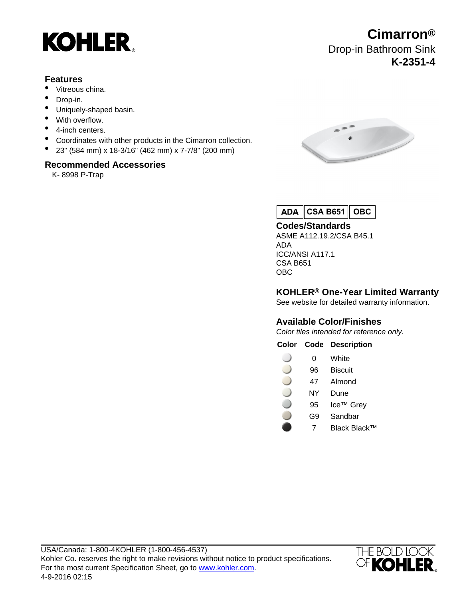

# **Features**

- Vitreous china.
- Drop-in.
- Uniquely-shaped basin.
- With overflow.
- 4-inch centers.
- Coordinates with other products in the Cimarron collection.
- 23" (584 mm) x 18-3/16" (462 mm) x 7-7/8" (200 mm)

### **Recommended Accessories**

K- 8998 P-Trap



ADA | **CSA B651 OBC**

### **Codes/Standards**

ASME A112.19.2/CSA B45.1 ADA ICC/ANSI A117.1 CSA B651 OBC

**KOHLER® One-Year Limited Warranty**

See website for detailed warranty information.

# **Available Color/Finishes**

Color tiles intended for reference only.

**Color Code Description**

- $\cup$ 0 White
- 96 Biscuit
- 47 Almond
- NY Dune
- 95 Ice™ Grey
- G9 Sandbar
	- 7 Black Black™



**Cimarron®** Drop-in Bathroom Sink **K-2351-4**